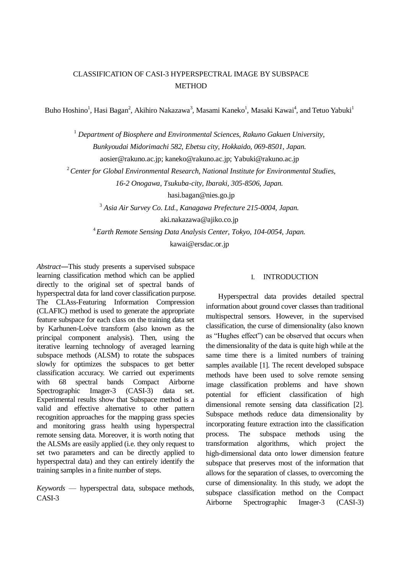# CLASSIFICATION OF CASI-3 HYPERSPECTRAL IMAGE BY SUBSPACE **METHOD**

Buho Hoshino<sup>1</sup>, Hasi Bagan<sup>2</sup>, Akihiro Nakazawa<sup>3</sup>, Masami Kaneko<sup>1</sup>, Masaki Kawai<sup>4</sup>, and Tetuo Yabuki<sup>1</sup>

<sup>1</sup> Department of Biosphere and Environmental Sciences, Rakuno Gakuen University, *Bunkyoudai Midorimachi 582, Ebetsu city, Hokkaido, 069-8501, Japan.* aosier@rakuno.ac.jp; kaneko@rakuno.ac.jp; Yabuki@rakuno.ac.jp

<sup>2</sup>*Center for Global Environmental Research, National Institute for Environmental Studies,* 

*16-2 Onogawa, Tsukuba-city, Ibaraki, 305-8506, Japan.*

hasi.bagan@nies.go.jp

<sup>3</sup> *Asia Air Survey Co. Ltd., Kanagawa Prefecture 215-0004, Japan.* 

aki.nakazawa@ajiko.co.jp

<sup>4</sup>*Earth Remote Sensing Data Analysis Center, Tokyo, 104-0054, Japan.* 

kawai@ersdac.or.jp

*Abstract*―This study presents a supervised subspace learning classification method which can be applied directly to the original set of spectral bands of hyperspectral data for land cover classification purpose. The CLAss-Featuring Information Compression (CLAFIC) method is used to generate the appropriate feature subspace for each class on the training data set by Karhunen-Loève transform (also known as the principal component analysis). Then, using the iterative learning technology of averaged learning subspace methods (ALSM) to rotate the subspaces slowly for optimizes the subspaces to get better classification accuracy. We carried out experiments with 68 spectral bands Compact Airborne Spectrographic Imager-3 (CASI-3) data set. Experimental results show that Subspace method is a valid and effective alternative to other pattern recognition approaches for the mapping grass species and monitoring grass health using hyperspectral remote sensing data. Moreover, it is worth noting that the ALSMs are easily applied (i.e. they only request to set two parameters and can be directly applied to hyperspectral data) and they can entirely identify the training samples in a finite number of steps.

*Keywords* — hyperspectral data, subspace methods, CASI-3

# I. INTRODUCTION

Hyperspectral data provides detailed spectral information about ground cover classes than traditional multispectral sensors. However, in the supervised classification, the curse of dimensionality (also known as "Hughes effect") can be observed that occurs when the dimensionality of the data is quite high while at the same time there is a limited numbers of training samples available [1]. The recent developed subspace methods have been used to solve remote sensing image classification problems and have shown potential for efficient classification of high dimensional remote sensing data classification [2]. Subspace methods reduce data dimensionality by incorporating feature extraction into the classification process. The subspace methods using the transformation algorithms, which project the high-dimensional data onto lower dimension feature subspace that preserves most of the information that allows for the separation of classes, to overcoming the curse of dimensionality. In this study, we adopt the subspace classification method on the Compact Airborne Spectrographic Imager-3 (CASI-3)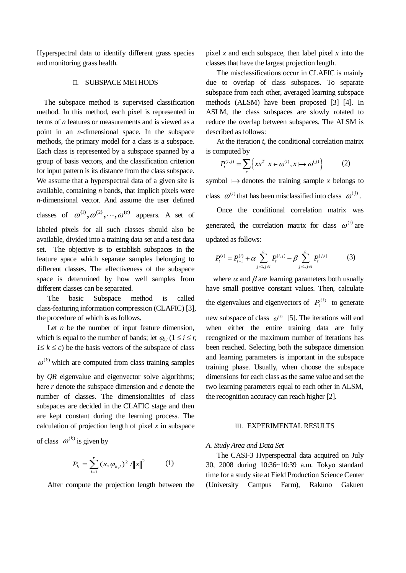Hyperspectral data to identify different grass species and monitoring grass health.

## II. SUBSPACE METHODS

The subspace method is supervised classification method. In this method, each pixel is represented in terms of *n* features or measurements and is viewed as a point in an *n*-dimensional space. In the subspace methods, the primary model for a class is a subspace. Each class is represented by a subspace spanned by a group of basis vectors, and the classification criterion for input pattern is its distance from the class subspace. We assume that a hyperspectral data of a given site is available, containing *n* bands, that implicit pixels were *n*-dimensional vector. And assume the user defined

classes of  $\omega^{(1)}, \omega^{(2)}, \cdots, \omega^{(c)}$  appears. A set of

labeled pixels for all such classes should also be available, divided into a training data set and a test data set. The objective is to establish subspaces in the feature space which separate samples belonging to different classes. The effectiveness of the subspace space is determined by how well samples from different classes can be separated.

The basic Subspace method is called class-featuring information compression (CLAFIC) [3], the procedure of which is as follows.

Let *n* be the number of input feature dimension, which is equal to the number of bands; let  $\varphi_{ki}$  ( $1 \le i \le r$ ,  $1 \leq k \leq c$ ) be the basis vectors of the subspace of class  $\omega^{(k)}$  which are computed from class training samples by *QR* eigenvalue and eigenvector solve algorithms; here *r* denote the subspace dimension and *c* denote the number of classes. The dimensionalities of class subspaces are decided in the CLAFIC stage and then

are kept constant during the learning process. The calculation of projection length of pixel  $x$  in subspace

of class  $\omega^{(k)}$  is given by

$$
P_k = \sum_{i=1}^r (x, \varphi_{k,i})^2 / ||x||^2 \qquad (1)
$$

After compute the projection length between the

pixel *x* and each subspace, then label pixel *x* into the classes that have the largest projection length.

The misclassifications occur in CLAFIC is mainly due to overlap of class subspaces. To separate subspace from each other, averaged learning subspace methods (ALSM) have been proposed [3] [4]. In ASLM, the class subspaces are slowly rotated to reduce the overlap between subspaces. The ALSM is described as follows:

At the iteration *t*, the conditional correlation matrix is computed by

$$
P_t^{(i,j)} = \sum_x \left\{ xx^T \middle| x \in \omega^{(i)}, x \mapsto \omega^{(j)} \right\} \tag{2}
$$

symbol  $\mapsto$  denotes the training sample *x* belongs to class  $\omega^{(i)}$  that has been misclassified into class  $\omega^{(j)}$ .

Once the conditional correlation matrix was generated, the correlation matrix for class  $\omega^{(i)}$  are updated as follows:

lated as follows:  
\n
$$
P_t^{(i)} = P_{t-1}^{(i)} + \alpha \sum_{j=1, j \neq i}^{c} P_t^{(i,j)} - \beta \sum_{j=1, j \neq i}^{c} P_t^{(j,i)}
$$
\n(3)

where  $\alpha$  and  $\beta$  are learning parameters both usually have small positive constant values. Then, calculate the eigenvalues and eigenvectors of  $P_t^{(i)}$  to generate new subspace of class  $\omega^{(i)}$  [5]. The iterations will end when either the entire training data are fully recognized or the maximum number of iterations has been reached. Selecting both the subspace dimension and learning parameters is important in the subspace training phase. Usually, when choose the subspace dimensions for each class as the same value and set the two learning parameters equal to each other in ALSM, the recognition accuracy can reach higher [2].

#### III. EXPERIMENTAL RESULTS

### *A. Study Area and Data Set*

The CASI-3 Hyperspectral data acquired on July 30, 2008 during 10:36~10:39 a.m. Tokyo standard time for a study site at Field Production Science Center (University Campus Farm), Rakuno Gakuen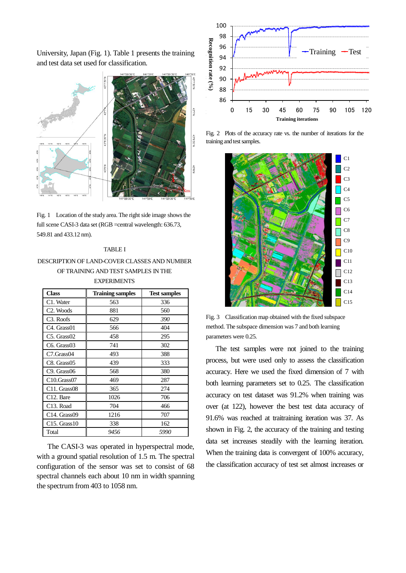University, Japan (Fig. 1). Table 1 presents the training and test data set used for classification.



Fig. 1 Location of the study area. The right side image shows the full scene CASI-3 data set (RGB =central wavelength: 636.73, 549.81 and 433.12 nm).

### TABLE I

# DESCRIPTION OF LAND-COVER CLASSES AND NUMBER OF TRAINING AND TEST SAMPLES IN THE **EXPERIMENTS**

| <b>Class</b>                         | <b>Training samples</b> | <b>Test samples</b> |  |  |  |  |
|--------------------------------------|-------------------------|---------------------|--|--|--|--|
| C1. Water                            | 563                     | 336                 |  |  |  |  |
| C <sub>2</sub> . Woods               | 881                     | 560                 |  |  |  |  |
| C <sub>3</sub> . Roofs               | 629                     | 390                 |  |  |  |  |
| C <sub>4</sub> . Grass <sub>01</sub> | 566                     | 404                 |  |  |  |  |
| $C5.$ Grass $02$                     | 458                     | 295                 |  |  |  |  |
| C <sub>6</sub> . Grass <sub>03</sub> | 741                     | 302                 |  |  |  |  |
| C7.Grass04                           | 493                     | 388                 |  |  |  |  |
| $C8.$ Grass $05$                     | 439                     | 333                 |  |  |  |  |
| C <sub>9</sub> . Grass <sub>06</sub> | 568                     | 380                 |  |  |  |  |
| C10.Grass07                          | 469                     | 287                 |  |  |  |  |
| $C11.$ Grass08                       | 365                     | 274                 |  |  |  |  |
| C <sub>12</sub> . Bare               | 1026                    | 706                 |  |  |  |  |
| C <sub>13</sub> . Road               | 704                     | 466                 |  |  |  |  |
| $C14.$ Grass09                       | 1216                    | 707                 |  |  |  |  |
| $C15.$ Grass $10$                    | 338                     | 162                 |  |  |  |  |
| Total                                | 9456                    | 5990                |  |  |  |  |

The CASI-3 was operated in hyperspectral mode, with a ground spatial resolution of 1.5 m. The spectral configuration of the sensor was set to consist of 68 spectral channels each about 10 nm in width spanning the spectrum from 403 to 1058 nm.



Fig. 2 Plots of the accuracy rate vs. the number of iterations for the training and test samples.



Fig. 3 Classification map obtained with the fixed subspace method. The subspace dimension was 7 and both learning parameters were 0.25.

The test samples were not joined to the training process, but were used only to assess the classification accuracy. Here we used the fixed dimension of 7 with both learning parameters set to 0.25. The classification accuracy on test dataset was 91.2% when training was over (at 122), however the best test data accuracy of 91.6% was reached at traitraining iteration was 37. As shown in Fig. 2, the accuracy of the training and testing data set increases steadily with the learning iteration. When the training data is convergent of 100% accuracy, the classification accuracy of test set almost increases or